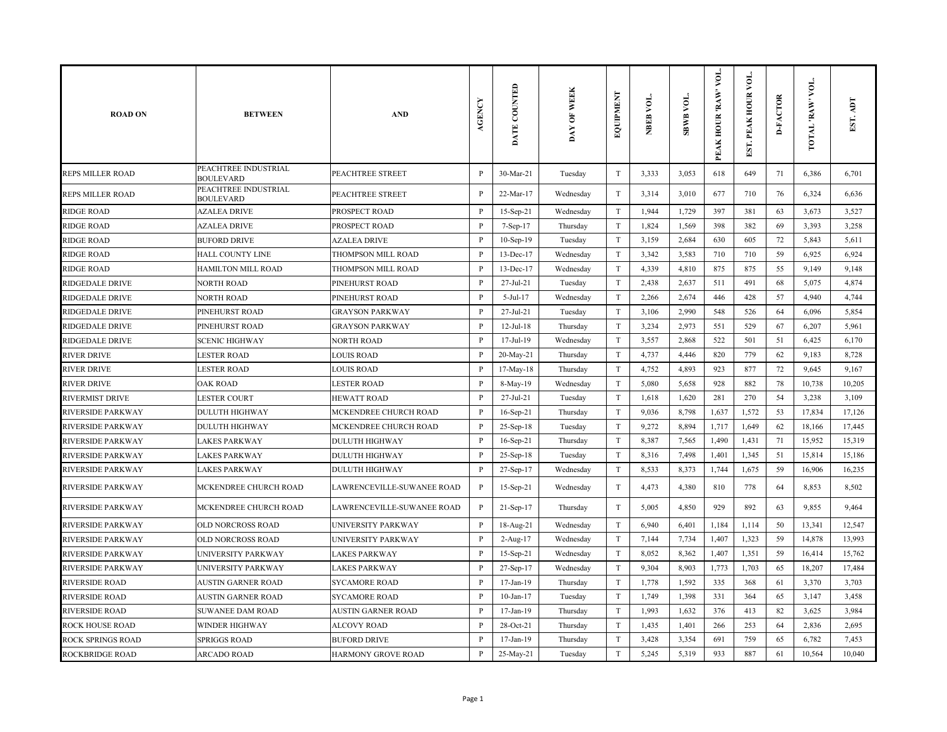| <b>ROAD ON</b>           | <b>BETWEEN</b>                           | <b>AND</b>                 | <b>AGENCY</b> | DATE COUNTED    | DAY OF WEEK | EQUIPMENT                 | NBEB VOL. | <b>SBWB VOL.</b> | VOL.<br>PEAK HOUR 'RAW' | EST. PEAK HOUR VOI | <b>D-FACTOR</b> | TOTAL RAW VOL | Ę<br>EST. |
|--------------------------|------------------------------------------|----------------------------|---------------|-----------------|-------------|---------------------------|-----------|------------------|-------------------------|--------------------|-----------------|---------------|-----------|
| <b>REPS MILLER ROAD</b>  | PEACHTREE INDUSTRIAL<br><b>BOULEVARD</b> | PEACHTREE STREET           | $\, {\bf p}$  | 30-Mar-21       | Tuesday     | $\mathbf T$               | 3,333     | 3,053            | 618                     | 649                | 71              | 6,386         | 6,701     |
| REPS MILLER ROAD         | PEACHTREE INDUSTRIAL<br><b>BOULEVARD</b> | PEACHTREE STREET           | P             | 22-Mar-17       | Wednesday   | $\mathbf T$               | 3,314     | 3,010            | 677                     | 710                | 76              | 6,324         | 6,636     |
| <b>RIDGE ROAD</b>        | <b>AZALEA DRIVE</b>                      | PROSPECT ROAD              | $\mathbf{P}$  | 15-Sep-21       | Wednesday   | $\mathbf T$               | 1,944     | 1,729            | 397                     | 381                | 63              | 3,673         | 3,527     |
| RIDGE ROAD               | <b>AZALEA DRIVE</b>                      | PROSPECT ROAD              | $\mathbf{P}$  | 7-Sep-17        | Thursday    | $\mathbf T$               | 1,824     | 1,569            | 398                     | 382                | 69              | 3,393         | 3,258     |
| <b>RIDGE ROAD</b>        | <b>BUFORD DRIVE</b>                      | <b>AZALEA DRIVE</b>        | P             | $10-Sep-19$     | Tuesday     | $\mathbf T$               | 3,159     | 2,684            | 630                     | 605                | 72              | 5,843         | 5,611     |
| <b>RIDGE ROAD</b>        | <b>HALL COUNTY LINE</b>                  | THOMPSON MILL ROAD         | P             | 13-Dec-17       | Wednesday   | $\mathbf T$               | 3,342     | 3,583            | 710                     | 710                | 59              | 6,925         | 6,924     |
| <b>RIDGE ROAD</b>        | HAMILTON MILL ROAD                       | THOMPSON MILL ROAD         | P             | 13-Dec-17       | Wednesday   | $\mathbf T$               | 4,339     | 4,810            | 875                     | 875                | 55              | 9,149         | 9,148     |
| <b>RIDGEDALE DRIVE</b>   | <b>NORTH ROAD</b>                        | PINEHURST ROAD             | $\, {\bf p}$  | 27-Jul-21       | Tuesday     | $\mathbf T$               | 2,438     | 2,637            | 511                     | 491                | 68              | 5,075         | 4,874     |
| <b>RIDGEDALE DRIVE</b>   | <b>NORTH ROAD</b>                        | PINEHURST ROAD             | P             | $5-Jul-17$      | Wednesday   | T                         | 2,266     | 2,674            | 446                     | 428                | 57              | 4,940         | 4,744     |
| <b>RIDGEDALE DRIVE</b>   | PINEHURST ROAD                           | <b>GRAYSON PARKWAY</b>     | $\mathbf{P}$  | 27-Jul-21       | Tuesday     | $\mathbf T$               | 3,106     | 2,990            | 548                     | 526                | 64              | 6,096         | 5,854     |
| RIDGEDALE DRIVE          | PINEHURST ROAD                           | <b>GRAYSON PARKWAY</b>     | P             | $12$ -Jul- $18$ | Thursday    | $\mathbf T$               | 3,234     | 2,973            | 551                     | 529                | 67              | 6,207         | 5,961     |
| RIDGEDALE DRIVE          | <b>SCENIC HIGHWAY</b>                    | <b>NORTH ROAD</b>          | $\, {\bf p}$  | 17-Jul-19       | Wednesday   | $\ensuremath{\mathrm{T}}$ | 3,557     | 2,868            | 522                     | 501                | 51              | 6,425         | 6,170     |
| <b>RIVER DRIVE</b>       | <b>LESTER ROAD</b>                       | <b>LOUIS ROAD</b>          | $\mathbf{P}$  | 20-May-21       | Thursday    | $\mathbf T$               | 4,737     | 4,446            | 820                     | 779                | 62              | 9,183         | 8,728     |
| <b>RIVER DRIVE</b>       | <b>LESTER ROAD</b>                       | <b>LOUIS ROAD</b>          | P             | 17-May-18       | Thursday    | T                         | 4,752     | 4,893            | 923                     | 877                | 72              | 9,645         | 9,167     |
| <b>RIVER DRIVE</b>       | <b>OAK ROAD</b>                          | <b>LESTER ROAD</b>         | $\, {\bf P}$  | 8-May-19        | Wednesday   | $\mathbf T$               | 5,080     | 5,658            | 928                     | 882                | 78              | 10,738        | 10,205    |
| <b>RIVERMIST DRIVE</b>   | <b>LESTER COURT</b>                      | <b>HEWATT ROAD</b>         | P             | 27-Jul-21       | Tuesday     | $\rm T$                   | 1,618     | 1,620            | 281                     | 270                | 54              | 3,238         | 3,109     |
| <b>RIVERSIDE PARKWAY</b> | <b>DULUTH HIGHWAY</b>                    | MCKENDREE CHURCH ROAD      | $\, {\bf P}$  | 16-Sep-21       | Thursday    | $\mathbf T$               | 9,036     | 8,798            | 1,637                   | 1,572              | 53              | 17,834        | 17,126    |
| <b>RIVERSIDE PARKWAY</b> | <b>DULUTH HIGHWAY</b>                    | MCKENDREE CHURCH ROAD      | P             | $25-Sep-18$     | Tuesday     | $\mathbf T$               | 9,272     | 8,894            | 1,717                   | 1,649              | 62              | 18,166        | 17,445    |
| <b>RIVERSIDE PARKWAY</b> | LAKES PARKWAY                            | <b>DULUTH HIGHWAY</b>      | P             | 16-Sep-21       | Thursday    | T                         | 8,387     | 7,565            | 1,490                   | 1,431              | 71              | 15,952        | 15,319    |
| <b>RIVERSIDE PARKWAY</b> | <b>LAKES PARKWAY</b>                     | <b>DULUTH HIGHWAY</b>      | $\, {\bf P}$  | 25-Sep-18       | Tuesday     | $\rm T$                   | 8,316     | 7,498            | 1,401                   | 1,345              | 51              | 15,814        | 15,186    |
| <b>RIVERSIDE PARKWAY</b> | <b>LAKES PARKWAY</b>                     | <b>DULUTH HIGHWAY</b>      | P             | 27-Sep-17       | Wednesday   | $\rm T$                   | 8,533     | 8,373            | 1,744                   | 1,675              | 59              | 16,906        | 16,235    |
| <b>RIVERSIDE PARKWAY</b> | MCKENDREE CHURCH ROAD                    | LAWRENCEVILLE-SUWANEE ROAD | P             | 15-Sep-21       | Wednesday   | $\ensuremath{\mathrm{T}}$ | 4,473     | 4,380            | 810                     | 778                | 64              | 8,853         | 8,502     |
| <b>RIVERSIDE PARKWAY</b> | MCKENDREE CHURCH ROAD                    | LAWRENCEVILLE-SUWANEE ROAD | $\, {\bf P}$  | 21-Sep-17       | Thursday    | $\rm T$                   | 5,005     | 4,850            | 929                     | 892                | 63              | 9,855         | 9,464     |
| <b>RIVERSIDE PARKWAY</b> | OLD NORCROSS ROAD                        | UNIVERSITY PARKWAY         | $\mathbf{P}$  | 18-Aug-21       | Wednesday   | T                         | 6,940     | 6,401            | 1,184                   | 1,114              | 50              | 13,341        | 12,547    |
| <b>RIVERSIDE PARKWAY</b> | OLD NORCROSS ROAD                        | UNIVERSITY PARKWAY         | $\, {\bf P}$  | 2-Aug-17        | Wednesday   | $\mathbf T$               | 7,144     | 7,734            | 1,407                   | 1,323              | 59              | 14,878        | 13,993    |
| <b>RIVERSIDE PARKWAY</b> | UNIVERSITY PARKWAY                       | <b>LAKES PARKWAY</b>       | P             | $15-Sep-21$     | Wednesday   | T                         | 8,052     | 8,362            | 1,407                   | 1,351              | 59              | 16,414        | 15,762    |
| <b>RIVERSIDE PARKWAY</b> | UNIVERSITY PARKWAY                       | <b>LAKES PARKWAY</b>       | P             | 27-Sep-17       | Wednesday   | $\rm T$                   | 9,304     | 8,903            | 1,773                   | 1,703              | 65              | 18,207        | 17,484    |
| <b>RIVERSIDE ROAD</b>    | AUSTIN GARNER ROAD                       | <b>SYCAMORE ROAD</b>       | P             | 17-Jan-19       | Thursday    | $\mathbf T$               | 1,778     | 1,592            | 335                     | 368                | 61              | 3,370         | 3,703     |
| <b>RIVERSIDE ROAD</b>    | <b>AUSTIN GARNER ROAD</b>                | <b>SYCAMORE ROAD</b>       | $\mathbf{P}$  | $10$ -Jan- $17$ | Tuesday     | $\rm T$                   | 1,749     | 1,398            | 331                     | 364                | 65              | 3,147         | 3,458     |
| <b>RIVERSIDE ROAD</b>    | <b>SUWANEE DAM ROAD</b>                  | <b>AUSTIN GARNER ROAD</b>  | $\mathbf{P}$  | 17-Jan-19       | Thursday    | $\rm T$                   | 1,993     | 1,632            | 376                     | 413                | 82              | 3,625         | 3,984     |
| <b>ROCK HOUSE ROAD</b>   | <b>WINDER HIGHWAY</b>                    | <b>ALCOVY ROAD</b>         | P             | 28-Oct-21       | Thursday    | T                         | 1,435     | 1,401            | 266                     | 253                | 64              | 2,836         | 2,695     |
| <b>ROCK SPRINGS ROAD</b> | <b>SPRIGGS ROAD</b>                      | <b>BUFORD DRIVE</b>        | P             | 17-Jan-19       | Thursday    | $\mathbf T$               | 3,428     | 3,354            | 691                     | 759                | 65              | 6,782         | 7,453     |
| <b>ROCKBRIDGE ROAD</b>   | <b>ARCADO ROAD</b>                       | <b>HARMONY GROVE ROAD</b>  | P             | 25-May-21       | Tuesday     | $\mathbf T$               | 5,245     | 5,319            | 933                     | 887                | 61              | 10,564        | 10,040    |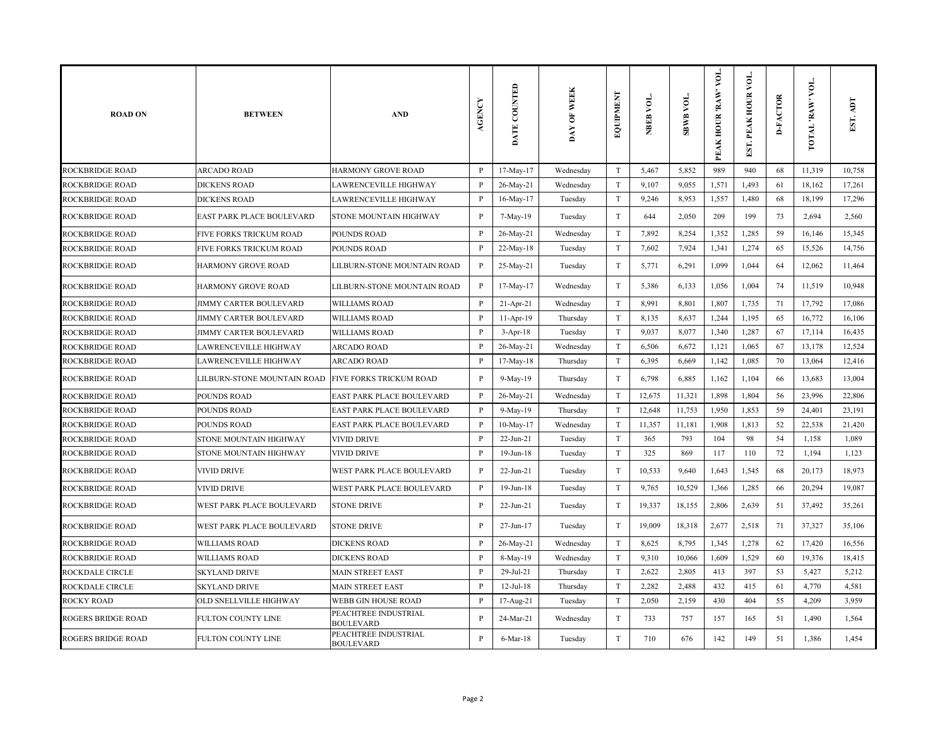| <b>ROAD ON</b>            | <b>BETWEEN</b>                                      | <b>AND</b>                               | AGENCY       | DATE COUNTED | <b>WEEK</b><br>$\overline{\mathbf{e}}$<br>$\mathbf{pAY}$ | <b>EQUIPMENT</b>          | NBEB VOL. | <b>SBWB VOL.</b> | VOL.<br>PEAK HOUR 'RAW' | EST. PEAK HOUR VOL | <b>D-FACTOR</b> | VOL.<br>TOTAL 'RAW | EST. ADT |
|---------------------------|-----------------------------------------------------|------------------------------------------|--------------|--------------|----------------------------------------------------------|---------------------------|-----------|------------------|-------------------------|--------------------|-----------------|--------------------|----------|
| ROCKBRIDGE ROAD           | <b>ARCADO ROAD</b>                                  | <b>HARMONY GROVE ROAD</b>                | $\mathbf{P}$ | 17-May-17    | Wednesday                                                | $\rm T$                   | 5,467     | 5,852            | 989                     | 940                | 68              | 11,319             | 10,758   |
| ROCKBRIDGE ROAD           | <b>DICKENS ROAD</b>                                 | <b>LAWRENCEVILLE HIGHWAY</b>             | P            | 26-May-21    | Wednesday                                                | $\mathbf T$               | 9,107     | 9,055            | 1,571                   | 1,493              | 61              | 18,162             | 17,261   |
| ROCKBRIDGE ROAD           | <b>DICKENS ROAD</b>                                 | LAWRENCEVILLE HIGHWAY                    | P            | 16-May-17    | Tuesday                                                  | $\rm T$                   | 9,246     | 8,953            | 1,557                   | 1,480              | 68              | 18,199             | 17,296   |
| ROCKBRIDGE ROAD           | EAST PARK PLACE BOULEVARD                           | STONE MOUNTAIN HIGHWAY                   | P            | 7-May-19     | Tuesday                                                  | $\mathbf T$               | 644       | 2,050            | 209                     | 199                | 73              | 2,694              | 2,560    |
| ROCKBRIDGE ROAD           | FIVE FORKS TRICKUM ROAD                             | <b>POUNDS ROAD</b>                       | $\mathbf{P}$ | 26-May-21    | Wednesday                                                | $\mathbf T$               | 7,892     | 8,254            | 1,352                   | 1,285              | 59              | 16,146             | 15,345   |
| <b>ROCKBRIDGE ROAD</b>    | FIVE FORKS TRICKUM ROAD                             | POUNDS ROAD                              | $\mathbf{P}$ | 22-May-18    | Tuesday                                                  | $\rm T$                   | 7,602     | 7,924            | 1,341                   | 1,274              | 65              | 15,526             | 14,756   |
| <b>ROCKBRIDGE ROAD</b>    | <b>HARMONY GROVE ROAD</b>                           | LILBURN-STONE MOUNTAIN ROAD              | P            | 25-May-21    | Tuesday                                                  | $\rm T$                   | 5,771     | 6,291            | 1,099                   | 1,044              | 64              | 12,062             | 11,464   |
| <b>ROCKBRIDGE ROAD</b>    | HARMONY GROVE ROAD                                  | LILBURN-STONE MOUNTAIN ROAD              | $\, {\bf P}$ | 17-May-17    | Wednesday                                                | T                         | 5,386     | 6,133            | 1,056                   | 1,004              | 74              | 11,519             | 10,948   |
| ROCKBRIDGE ROAD           | JIMMY CARTER BOULEVARD                              | <b>WILLIAMS ROAD</b>                     | P            | 21-Apr-21    | Wednesday                                                | T                         | 8,991     | 8,801            | 1,807                   | 1,735              | 71              | 17,792             | 17,086   |
| <b>ROCKBRIDGE ROAD</b>    | <b>JIMMY CARTER BOULEVARD</b>                       | <b>WILLIAMS ROAD</b>                     | P            | $11-Apr-19$  | Thursday                                                 | T                         | 8,135     | 8,637            | 1,244                   | 1,195              | 65              | 16,772             | 16,106   |
| ROCKBRIDGE ROAD           | JIMMY CARTER BOULEVARD                              | <b>WILLIAMS ROAD</b>                     | P            | $3-Apr-18$   | Tuesday                                                  | $\mathbf T$               | 9,037     | 8,077            | 1,340                   | 1,287              | 67              | 17,114             | 16,435   |
| <b>ROCKBRIDGE ROAD</b>    | LAWRENCEVILLE HIGHWAY                               | <b>ARCADO ROAD</b>                       | P            | 26-May-21    | Wednesday                                                | $\rm T$                   | 6,506     | 6,672            | 1,121                   | 1,065              | 67              | 13,178             | 12,524   |
| <b>ROCKBRIDGE ROAD</b>    | LAWRENCEVILLE HIGHWAY                               | <b>ARCADO ROAD</b>                       | $\mathbf{P}$ | 17-May-18    | Thursday                                                 | $\mathbf T$               | 6,395     | 6,669            | 1,142                   | 1,085              | 70              | 13,064             | 12,416   |
| <b>ROCKBRIDGE ROAD</b>    | LILBURN-STONE MOUNTAIN ROAD FIVE FORKS TRICKUM ROAD |                                          | P            | 9-May-19     | Thursday                                                 | T                         | 6,798     | 6,885            | 1,162                   | 1,104              | 66              | 13,683             | 13,004   |
| ROCKBRIDGE ROAD           | POUNDS ROAD                                         | EAST PARK PLACE BOULEVARD                | P            | 26-May-21    | Wednesday                                                | $\rm T$                   | 12,675    | 11,321           | 1,898                   | 1,804              | 56              | 23,996             | 22,806   |
| ROCKBRIDGE ROAD           | POUNDS ROAD                                         | EAST PARK PLACE BOULEVARD                | P            | 9-May-19     | Thursday                                                 | T                         | 12,648    | 11,753           | 1,950                   | 1,853              | 59              | 24,401             | 23,191   |
| ROCKBRIDGE ROAD           | POUNDS ROAD                                         | EAST PARK PLACE BOULEVARD                | P            | $10-May-17$  | Wednesday                                                | T                         | 11,357    | 11,181           | 1,908                   | 1,813              | 52              | 22,538             | 21,420   |
| ROCKBRIDGE ROAD           | STONE MOUNTAIN HIGHWAY                              | <b>VIVID DRIVE</b>                       | P            | $22$ -Jun-21 | Tuesday                                                  | T                         | 365       | 793              | 104                     | 98                 | 54              | 1,158              | 1,089    |
| <b>ROCKBRIDGE ROAD</b>    | STONE MOUNTAIN HIGHWAY                              | <b>VIVID DRIVE</b>                       | P            | 19-Jun-18    | Tuesday                                                  | T                         | 325       | 869              | 117                     | 110                | 72              | 1,194              | 1,123    |
| <b>ROCKBRIDGE ROAD</b>    | VIVID DRIVE                                         | WEST PARK PLACE BOULEVARD                | P            | 22-Jun-21    | Tuesday                                                  | $\rm T$                   | 10,533    | 9,640            | 1,643                   | 1,545              | 68              | 20,173             | 18,973   |
| <b>ROCKBRIDGE ROAD</b>    | VIVID DRIVE                                         | WEST PARK PLACE BOULEVARD                | $\mathbf{P}$ | 19-Jun-18    | Tuesday                                                  | $\rm T$                   | 9,765     | 10,529           | 1,366                   | 1,285              | 66              | 20,294             | 19,087   |
| ROCKBRIDGE ROAD           | WEST PARK PLACE BOULEVARD                           | <b>STONE DRIVE</b>                       | $\mathbf{P}$ | 22-Jun-21    | Tuesday                                                  | $\mathbf T$               | 19,337    | 18,155           | 2,806                   | 2,639              | 51              | 37,492             | 35,261   |
| ROCKBRIDGE ROAD           | WEST PARK PLACE BOULEVARD                           | <b>STONE DRIVE</b>                       | $\mathbf{P}$ | 27-Jun-17    | Tuesday                                                  | $\ensuremath{\mathrm{T}}$ | 19,009    | 18,318           | 2,677                   | 2,518              | 71              | 37,327             | 35,106   |
| <b>ROCKBRIDGE ROAD</b>    | <b>WILLIAMS ROAD</b>                                | <b>DICKENS ROAD</b>                      | P            | 26-May-21    | Wednesday                                                | T                         | 8,625     | 8,795            | 1,345                   | 1,278              | 62              | 17,420             | 16,556   |
| ROCKBRIDGE ROAD           | <b>WILLIAMS ROAD</b>                                | <b>DICKENS ROAD</b>                      | P            | 8-May-19     | Wednesday                                                | T                         | 9,310     | 10,066           | 1,609                   | 1,529              | 60              | 19,376             | 18,415   |
| ROCKDALE CIRCLE           | <b>SKYLAND DRIVE</b>                                | <b>MAIN STREET EAST</b>                  | P            | 29-Jul-21    | Thursday                                                 | $\ensuremath{\mathrm{T}}$ | 2,622     | 2,805            | 413                     | 397                | 53              | 5,427              | 5,212    |
| ROCKDALE CIRCLE           | <b>SKYLAND DRIVE</b>                                | <b>MAIN STREET EAST</b>                  | P            | $12-Jul-18$  | Thursday                                                 | $\rm T$                   | 2,282     | 2,488            | 432                     | 415                | 61              | 4,770              | 4,581    |
| <b>ROCKY ROAD</b>         | OLD SNELLVILLE HIGHWAY                              | <b>WEBB GIN HOUSE ROAD</b>               | P            | 17-Aug-21    | Tuesday                                                  | T                         | 2,050     | 2,159            | 430                     | 404                | 55              | 4,209              | 3,959    |
| <b>ROGERS BRIDGE ROAD</b> | FULTON COUNTY LINE                                  | PEACHTREE INDUSTRIAL<br><b>BOULEVARD</b> | P            | 24-Mar-21    | Wednesday                                                | $\rm T$                   | 733       | 757              | 157                     | 165                | 51              | 1,490              | 1,564    |
| <b>ROGERS BRIDGE ROAD</b> | FULTON COUNTY LINE                                  | PEACHTREE INDUSTRIAL<br><b>BOULEVARD</b> | P            | 6-Mar-18     | Tuesday                                                  | $\mathbf T$               | 710       | 676              | 142                     | 149                | 51              | 1,386              | 1,454    |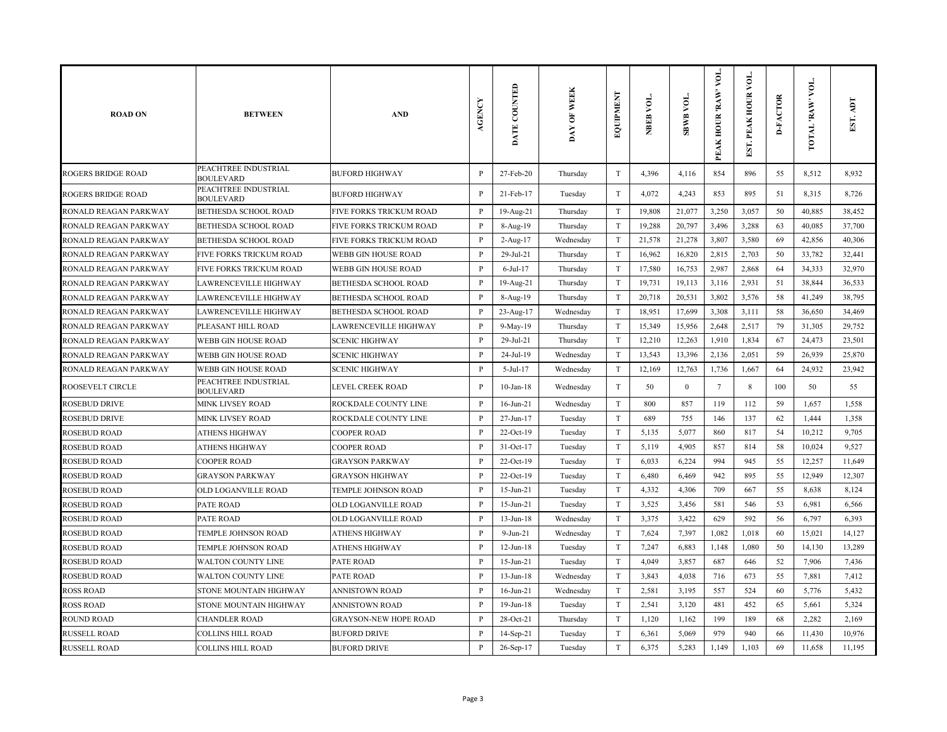| <b>ROAD ON</b>            | <b>BETWEEN</b>                           | <b>AND</b>                   | AGENCY       | DATE COUNTED    | <b>WEEK</b><br>$\overline{\mathbf{5}}$<br>DAY | EQUIPMENT                 | NBEB VOL. | <b>SBWB VOL.</b> | VOL.<br>PEAK HOUR 'RAW' | γoι.<br>EST. PEAK HOUR | <b>D-FACTOR</b> | VOL.<br>TOTAL 'RAW | EST. ADT |
|---------------------------|------------------------------------------|------------------------------|--------------|-----------------|-----------------------------------------------|---------------------------|-----------|------------------|-------------------------|------------------------|-----------------|--------------------|----------|
| <b>ROGERS BRIDGE ROAD</b> | PEACHTREE INDUSTRIAL<br><b>BOULEVARD</b> | <b>BUFORD HIGHWAY</b>        | $\, {\bf P}$ | 27-Feb-20       | Thursday                                      | $\mathbf T$               | 4,396     | 4,116            | 854                     | 896                    | 55              | 8,512              | 8,932    |
| <b>ROGERS BRIDGE ROAD</b> | PEACHTREE INDUSTRIAL<br><b>BOULEVARD</b> | <b>BUFORD HIGHWAY</b>        | P            | 21-Feb-17       | Tuesday                                       | $\mathbf T$               | 4,072     | 4,243            | 853                     | 895                    | 51              | 8,315              | 8,726    |
| RONALD REAGAN PARKWAY     | BETHESDA SCHOOL ROAD                     | FIVE FORKS TRICKUM ROAD      | $\mathbf{P}$ | 19-Aug-21       | Thursday                                      | $\ensuremath{\mathrm{T}}$ | 19,808    | 21,077           | 3,250                   | 3,057                  | 50              | 40,885             | 38,452   |
| RONALD REAGAN PARKWAY     | BETHESDA SCHOOL ROAD                     | FIVE FORKS TRICKUM ROAD      | P            | 8-Aug-19        | Thursday                                      | $\ensuremath{\mathrm{T}}$ | 19,288    | 20,797           | 3,496                   | 3,288                  | 63              | 40,085             | 37,700   |
| RONALD REAGAN PARKWAY     | BETHESDA SCHOOL ROAD                     | FIVE FORKS TRICKUM ROAD      | $\mathbf{P}$ | 2-Aug-17        | Wednesday                                     | $\ensuremath{\mathrm{T}}$ | 21,578    | 21,278           | 3,807                   | 3,580                  | 69              | 42,856             | 40,306   |
| RONALD REAGAN PARKWAY     | FIVE FORKS TRICKUM ROAD                  | WEBB GIN HOUSE ROAD          | P            | 29-Jul-21       | Thursday                                      | T                         | 16,962    | 16,820           | 2,815                   | 2,703                  | 50              | 33,782             | 32,441   |
| RONALD REAGAN PARKWAY     | FIVE FORKS TRICKUM ROAD                  | WEBB GIN HOUSE ROAD          | $\mathbf{P}$ | $6$ -Jul-17     | Thursday                                      | T                         | 17,580    | 16,753           | 2,987                   | 2,868                  | 64              | 34,333             | 32,970   |
| RONALD REAGAN PARKWAY     | LAWRENCEVILLE HIGHWAY                    | BETHESDA SCHOOL ROAD         | P            | 19-Aug-21       | Thursday                                      | T                         | 19,731    | 19,113           | 3,116                   | 2,931                  | 51              | 38,844             | 36,533   |
| RONALD REAGAN PARKWAY     | LAWRENCEVILLE HIGHWAY                    | BETHESDA SCHOOL ROAD         | P            | 8-Aug-19        | Thursday                                      | T                         | 20,718    | 20,531           | 3,802                   | 3,576                  | 58              | 41,249             | 38,795   |
| RONALD REAGAN PARKWAY     | LAWRENCEVILLE HIGHWAY                    | BETHESDA SCHOOL ROAD         | $\mathbf{P}$ | 23-Aug-17       | Wednesday                                     | T                         | 18,951    | 17,699           | 3,308                   | 3,111                  | 58              | 36,650             | 34,469   |
| RONALD REAGAN PARKWAY     | PLEASANT HILL ROAD                       | LAWRENCEVILLE HIGHWAY        | P            | 9-May-19        | Thursday                                      | T                         | 15,349    | 15,956           | 2,648                   | 2,517                  | 79              | 31,305             | 29,752   |
| RONALD REAGAN PARKWAY     | WEBB GIN HOUSE ROAD                      | <b>SCENIC HIGHWAY</b>        | P            | 29-Jul-21       | Thursday                                      | $\rm T$                   | 12,210    | 12,263           | 1,910                   | 1,834                  | 67              | 24,473             | 23,501   |
| RONALD REAGAN PARKWAY     | WEBB GIN HOUSE ROAD                      | <b>SCENIC HIGHWAY</b>        | $\mathbf{P}$ | 24-Jul-19       | Wednesday                                     | T                         | 13,543    | 13,396           | 2,136                   | 2,051                  | 59              | 26,939             | 25,870   |
| RONALD REAGAN PARKWAY     | WEBB GIN HOUSE ROAD                      | <b>SCENIC HIGHWAY</b>        | P            | 5-Jul-17        | Wednesday                                     | T                         | 12,169    | 12,763           | 1,736                   | 1,667                  | 64              | 24,932             | 23,942   |
| <b>ROOSEVELT CIRCLE</b>   | PEACHTREE INDUSTRIAL<br><b>BOULEVARD</b> | LEVEL CREEK ROAD             | P            | $10$ -Jan- $18$ | Wednesday                                     | $\rm T$                   | 50        | $\mathbf{0}$     | $7\phantom{.0}$         | 8                      | 100             | 50                 | 55       |
| <b>ROSEBUD DRIVE</b>      | <b>MINK LIVSEY ROAD</b>                  | ROCKDALE COUNTY LINE         | P            | $16$ -Jun-21    | Wednesday                                     | $\mathbf T$               | 800       | 857              | 119                     | 112                    | 59              | 1,657              | 1,558    |
| ROSEBUD DRIVE             | MINK LIVSEY ROAD                         | ROCKDALE COUNTY LINE         | $\mathbf{P}$ | 27-Jun-17       | Tuesday                                       | $\mathbf T$               | 689       | 755              | 146                     | 137                    | 62              | 1,444              | 1,358    |
| ROSEBUD ROAD              | ATHENS HIGHWAY                           | <b>COOPER ROAD</b>           | P            | $22-Oct-19$     | Tuesday                                       | $\mathbf T$               | 5,135     | 5,077            | 860                     | 817                    | 54              | 10,212             | 9,705    |
| ROSEBUD ROAD              | <b>ATHENS HIGHWAY</b>                    | <b>COOPER ROAD</b>           | $\mathbf{P}$ | 31-Oct-17       | Tuesday                                       | $\mathbf T$               | 5,119     | 4,905            | 857                     | 814                    | 58              | 10,024             | 9,527    |
| ROSEBUD ROAD              | <b>COOPER ROAD</b>                       | <b>GRAYSON PARKWAY</b>       | P            | 22-Oct-19       | Tuesday                                       | $\mathbf T$               | 6,033     | 6,224            | 994                     | 945                    | 55              | 12,257             | 11,649   |
| ROSEBUD ROAD              | <b>GRAYSON PARKWAY</b>                   | <b>GRAYSON HIGHWAY</b>       | P            | 22-Oct-19       | Tuesday                                       | $\mathbf T$               | 6,480     | 6,469            | 942                     | 895                    | 55              | 12,949             | 12,307   |
| ROSEBUD ROAD              | OLD LOGANVILLE ROAD                      | TEMPLE JOHNSON ROAD          | $\mathbf{P}$ | $15 - Jun - 21$ | Tuesday                                       | $\mathbf T$               | 4,332     | 4,306            | 709                     | 667                    | 55              | 8,638              | 8,124    |
| ROSEBUD ROAD              | PATE ROAD                                | OLD LOGANVILLE ROAD          | P            | $15$ -Jun-21    | Tuesday                                       | $\mathbf T$               | 3,525     | 3,456            | 581                     | 546                    | 53              | 6,981              | 6,566    |
| ROSEBUD ROAD              | PATE ROAD                                | OLD LOGANVILLE ROAD          | P            | $13$ -Jun- $18$ | Wednesday                                     | $\mathbf T$               | 3,375     | 3,422            | 629                     | 592                    | 56              | 6,797              | 6,393    |
| <b>ROSEBUD ROAD</b>       | TEMPLE JOHNSON ROAD                      | <b>ATHENS HIGHWAY</b>        | $\, {\bf p}$ | $9-Jun-21$      | Wednesday                                     | $\mathbf T$               | 7,624     | 7,397            | 1,082                   | 1,018                  | 60              | 15,021             | 14,127   |
| <b>ROSEBUD ROAD</b>       | TEMPLE JOHNSON ROAD                      | <b>ATHENS HIGHWAY</b>        | $\, {\bf P}$ | $12-Jun-18$     | Tuesday                                       | $\mathbf T$               | 7,247     | 6,883            | 1,148                   | 1,080                  | 50              | 14,130             | 13,289   |
| <b>ROSEBUD ROAD</b>       | <b>WALTON COUNTY LINE</b>                | <b>PATE ROAD</b>             | P            | $15$ -Jun-21    | Tuesday                                       | $\mathbf T$               | 4,049     | 3,857            | 687                     | 646                    | 52              | 7,906              | 7,436    |
| ROSEBUD ROAD              | WALTON COUNTY LINE                       | <b>PATE ROAD</b>             | P            | $13 - Jun - 18$ | Wednesday                                     | $\mathbf T$               | 3,843     | 4,038            | 716                     | 673                    | 55              | 7,881              | 7,412    |
| <b>ROSS ROAD</b>          | STONE MOUNTAIN HIGHWAY                   | ANNISTOWN ROAD               | P            | $16$ -Jun-21    | Wednesday                                     | $\rm T$                   | 2,581     | 3,195            | 557                     | 524                    | 60              | 5,776              | 5,432    |
| <b>ROSS ROAD</b>          | STONE MOUNTAIN HIGHWAY                   | <b>ANNISTOWN ROAD</b>        | $\mathbf{P}$ | $19$ -Jun- $18$ | Tuesday                                       | $\mathbf T$               | 2,541     | 3,120            | 481                     | 452                    | 65              | 5,661              | 5,324    |
| <b>ROUND ROAD</b>         | <b>CHANDLER ROAD</b>                     | <b>GRAYSON-NEW HOPE ROAD</b> | P            | 28-Oct-21       | Thursday                                      | $\mathbf T$               | 1,120     | 1,162            | 199                     | 189                    | 68              | 2,282              | 2,169    |
| <b>RUSSELL ROAD</b>       | COLLINS HILL ROAD                        | <b>BUFORD DRIVE</b>          | P            | $14-Sep-21$     | Tuesday                                       | $\mathbf T$               | 6,361     | 5,069            | 979                     | 940                    | 66              | 11,430             | 10,976   |
| <b>RUSSELL ROAD</b>       | <b>COLLINS HILL ROAD</b>                 | <b>BUFORD DRIVE</b>          | $\mathbf{P}$ | 26-Sep-17       | Tuesday                                       | $\mathbf T$               | 6,375     | 5,283            | 1,149                   | 1,103                  | 69              | 11,658             | 11,195   |